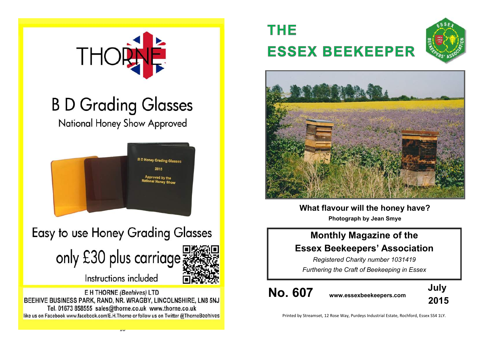

# **B D Grading Glasses**

National Honey Show Approved



## Easy to use Honey Grading Glasses



Instructions included

E H THORNE (Beehives) LTD BEEHIVE BUSINESS PARK, RAND, NR. WRAGBY, LINCOLNSHIRE, LN8 5NJ Tel. 01673 858555 sales@thorne.co.uk www.thorne.co.uk like us on Facebook www.facebook.com/E.H.Thorne or follow us on Twitter @ThorneBeehives

# **THE ESSEX BEEKEEPER**





**What flavour will the honey have? Photograph by Jean Smye**

## **Monthly Magazine of the Essex Beekeepers' Association**

*Registered Charity number 1031419 Furthering the Craft of Beekeeping in Essex*

**No. 607 www.essexbeekeepers.com**



Printed by Streamset, 12 Rose Way, Purdeys Industrial Estate, Rochford, Essex SS4 1LY.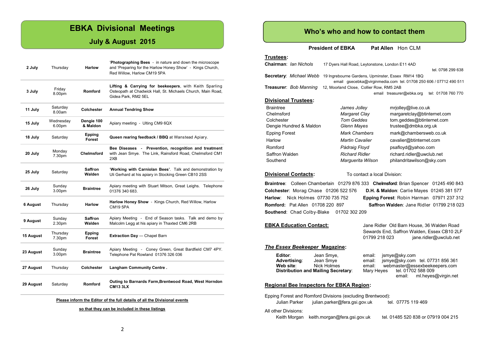#### **EBKA Divisional Meetings**

#### **July & August 2015**

| 29 August | Saturday            | Romford                 | Outing to Barnards Farm, Brentwood Road, West Horndon<br><b>CM13 3LX</b>                                                                            |
|-----------|---------------------|-------------------------|-----------------------------------------------------------------------------------------------------------------------------------------------------|
| 27 August | Thursday            | Colchester              | Langham Community Centre.                                                                                                                           |
| 23 August | Sunday<br>3.00pm    | <b>Braintree</b>        | Apiary Meeting - Coney Green, Great Bardfield CM7 4PY.<br>Telephone Pat Rowland 01376 326 036                                                       |
| 15 August | Thursday<br>7.30pm  | Epping<br>Forest        | Extraction Day - Chapel Barn                                                                                                                        |
| 9 August  | Sunday<br>2.30pm    | Saffron<br>Walden       | Apiary Meeting - End of Season tasks. Talk and demo by<br>Malcolm Legg at his apiary in Thaxted CM6 2RB                                             |
| 6 August  | Thursday            | <b>Harlow</b>           | Harlow Honey Show - Kings Church, Red Willow, Harlow<br><b>CM19 5PA</b>                                                                             |
| 26 July   | Sunday<br>3.00pm    | <b>Braintree</b>        | Apiary meeting with Stuart Mitson, Great Leighs. Telephone<br>01376 340 683.                                                                        |
| 25 July   | Saturday            | Saffron<br>Walden       | 'Working with Carniolan Bees'. Talk and demonstration by<br>Uli Gerhard at his apiary in Stocking Green CB10 2SS                                    |
| 20 July   | Monday<br>7.30pm    | Chelmsford              | Bee Diseases - Prevention, recognition and treatment<br>with Jean Smye. The Link, Rainsford Road, Chelmsford CM1<br>2XB                             |
| 18 July   | Saturday            | Epping<br><b>Forest</b> | Queen rearing feedback / BBQ at Wanstead Apiary.                                                                                                    |
| 15 July   | Wednesday<br>6.00pm | Dengie 100<br>& Maldon  | Apiary meeting - Ulting CM9 6QX                                                                                                                     |
| 11 July   | Saturday<br>8.00am  | Colchester              | <b>Annual Tendring Show</b>                                                                                                                         |
| 3 July    | Friday<br>8.00pm    | <b>Romford</b>          | Lifting & Carrying for beekeepers, with Keith Sparling<br>Osteopath at Chadwick Hall, St. Michaels Church, Main Road,<br>Gidea Park, RM2 5EL        |
| 2 July    | Thursday            | <b>Harlow</b>           | 'Photographing Bees - in nature and down the microscope<br>and 'Preparing for the Harlow Honey Show' - Kings Church,<br>Red Willow, Harlow CM19 5PA |

#### **Please inform the Editor of the full details of all the Divisional events**

**so that they can be included in these listings**

#### **Who's who and how to contact them**

**President of EBKA** Pat Allen Hon CLM

#### **Trustees:**

| Chairman: Ian Nichols         | 17 Dyers Hall Road, Leytonstone, London E11 4AD                   |                                                |  |
|-------------------------------|-------------------------------------------------------------------|------------------------------------------------|--|
|                               |                                                                   | tel. 0798 299 638                              |  |
| Secretary: Michael Webb       | 19 Ingrebourne Gardens, Upminster, Essex RM14 1BQ                 |                                                |  |
|                               | email qsecebka@virginmedia.com tel. 01708 250 606 / 07712 490 511 |                                                |  |
| <b>Treasurer: Bob Manning</b> | 12, Moorland Close, Collier Row, RM5 2AB                          |                                                |  |
|                               |                                                                   | tel: 01708 760 770<br>email treasurer@ebka.org |  |
| <b>Divisional Trustees:</b>   |                                                                   |                                                |  |
| <b>Braintree</b>              | James Jolley                                                      | mrjolley@live.co.uk                            |  |
| Chelmsford                    | Margaret Clay                                                     | margaretclay@btinternet.com                    |  |
| Colchester                    | <b>Tom Geddes</b>                                                 | tom.geddes@btinternet.com                      |  |
| Dengie Hundred & Maldon       | Glenn Mayes                                                       | trustee@dmbka.org.uk                           |  |
| <b>Epping Forest</b>          | <b>Mark Chambers</b>                                              | mark@chambersweb.co.uk                         |  |

| <b>Epping Forest</b> | <b>Mark Chambers</b>   | mark@chambersweb.co.uk    |
|----------------------|------------------------|---------------------------|
| Harlow               | <b>Martin Cavalier</b> | cavalier@btinternet.com   |
| Romford              | Pádraig Floyd          | psafloyd@yahoo.com        |
| Saffron Walden       | <b>Richard Ridler</b>  | richard.ridler@uwclub.net |
| Southend             | Marquerita Wilson      | philandritawilson@sky.com |

**Divisional Contacts:** To contact a local Division:

**Braintree**: Colleen Chamberlain 01279 876 333 **Chelmsford**: Brian Spencer 01245 490 843 **Colchester**: Morag Chase 01206 522 576 **D.H. & Maldon**: Carlie Mayes 01245 381 577 **Harlow**: Nick Holmes 07730 735 752 **Epping Forest**: Robin Harman 07971 237 312 **Romford:** Pat Allen 01708 220 897 **Saffron Walden**: Jane Ridler 01799 218 023 **Southend**: Chad Colby-Blake 01702 302 209

**EBKA Education Contact:** Jane Ridler Old Barn House, 36 Walden Road Sewards End, Saffron Walden, Essex CB10 2LF 01799 218 023 jane.ridler@uwclub.net

#### *The Essex Beekeeper* **Magazine:**

| Editor:<br><b>Advertising:</b><br>Web site:                | Jean Smye,<br>Jean Smye<br>Nick Holmes<br><b>Distribution and Mailing Secretary:</b> | email:<br>email:<br>email:<br>Mary Heyes |  | jsmye@sky.com<br>email: | jsmye@sky.com tel. 07731 856 361<br>webmaster@essexbeekeepers.com<br>tel. 01702 588 009<br>ml.heves@virgin.net |
|------------------------------------------------------------|--------------------------------------------------------------------------------------|------------------------------------------|--|-------------------------|----------------------------------------------------------------------------------------------------------------|
| <b>Regional Bee Inspectors for EBKA Region:</b>            |                                                                                      |                                          |  |                         |                                                                                                                |
| Epping Forest and Romford Divisions (excluding Brentwood): |                                                                                      |                                          |  |                         |                                                                                                                |

15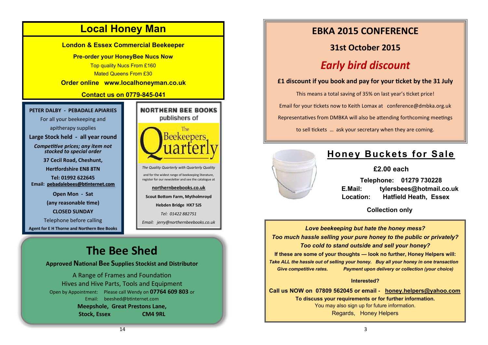

Open by Appointment: Please call Wendy on **07764 609 803** or Email: [beeshed@btinternet.com](mailto:beeshed@btinternet.com)  **Meepshole, Great Prestons Lane, Stock, Essex CM4 9RL**

## **EBKA 2015 CONFERENCE**

## **31st October 2015 Early bird discount**

**£1 discount if you book and pay for your ticket by the 31 July**

This means a total saving of 35% on last year's ticket price! Email for your tickets now to Keith Lomax at conference@dmbka.org.uk Representatives from DMBKA will also be attending forthcoming meetings

to sell tickets … ask your secretary when they are coming.



## **Honey Buckets for Sale**

#### **£2.00 each**

 **Telephone: 01279 730228 E.Mail: tylersbees@hotmail.co.uk Location: Hatfield Heath, Essex**

 **Collection only**

*Love beekeeping but hate the honey mess? Too much hassle selling your pure honey to the public or privately? Too cold to stand outside and sell your honey?* **If these are some of your thoughts — look no further, Honey Helpers will:** *Take ALL the hassle out of selling your honey. Buy all your honey in one transaction Give competitive rates. Payment upon delivery or collection (your choice)*

#### **Interested?**

**Call us NOW on 07809 562045 or email - [honey.helpers@yahoo.com](mailto:honey.helpers@yahoo.com) To discuss your requirements or for further information.** You may also sign up for future information. Regards, Honey Helpers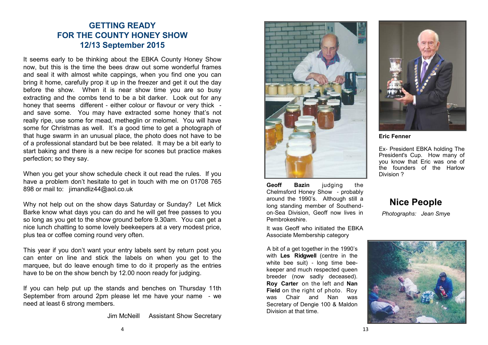### **GETTING READY FOR THE COUNTY HONEY SHOW 12/13 September 2015**

It seems early to be thinking about the EBKA County Honey Show now, but this is the time the bees draw out some wonderful frames and seal it with almost white cappings, when you find one you can bring it home, carefully prop it up in the freezer and get it out the day before the show. When it is near show time you are so busy extracting and the combs tend to be a bit darker. Look out for any honey that seems different - either colour or flavour or very thick and save some. You may have extracted some honey that's not really ripe, use some for mead, metheglin or melomel. You will have some for Christmas as well. It's a good time to get a photograph of that huge swarm in an unusual place, the photo does not have to be of a professional standard but be bee related. It may be a bit early to start baking and there is a new recipe for scones but practice makes perfection; so they say.

When you get your show schedule check it out read the rules. If you have a problem don't hesitate to get in touch with me on 01708 765 898 or mail to: jimandliz44@aol.co.uk

Why not help out on the show days Saturday or Sunday? Let Mick Barke know what days you can do and he will get free passes to you so long as you get to the show ground before 9.30am. You can get a nice lunch chatting to some lovely beekeepers at a very modest price, plus tea or coffee coming round very often.

This year if you don't want your entry labels sent by return post you can enter on line and stick the labels on when you get to the marquee, but do leave enough time to do it properly as the entries have to be on the show bench by 12.00 noon ready for judging.

If you can help put up the stands and benches on Thursday 11th September from around 2pm please let me have your name - we need at least 6 strong members.

Jim McNeill Assistant Show Secretary



Geoff Bazin **judging** the Chelmsford Honey Show - probably around the 1990's. Although still a long standing member of Southendon-Sea Division, Geoff now lives in Pembrokeshire.

It was Geoff who initiated the EBKA Associate Membership category

A bit of a get together in the 1990's with **Les Ridgwell** (centre in the white bee suit) - long time beekeeper and much respected queen breeder (now sadly deceased). **Roy Carter** on the left and **Nan Field** on the right of photo. Roy was Chair and Nan was Secretary of Dengie 100 & Maldon Division at that time.



**Eric Fenner** 

Ex- President EBKA holding The President's Cup. How many of you know that Eric was one of the founders of the Harlow Division ?

## **Nice People** *Photographs: Jean Smy*e

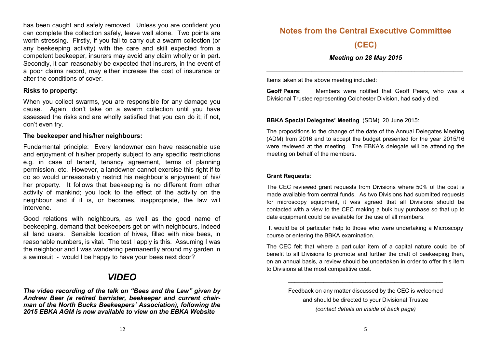has been caught and safely removed. Unless you are confident you can complete the collection safely, leave well alone. Two points are worth stressing. Firstly, if you fail to carry out a swarm collection (or any beekeeping activity) with the care and skill expected from a competent beekeeper, insurers may avoid any claim wholly or in part. Secondly, it can reasonably be expected that insurers, in the event of a poor claims record, may either increase the cost of insurance or alter the conditions of cover.

#### **Risks to property:**

When you collect swarms, you are responsible for any damage you cause. Again, don't take on a swarm collection until you have assessed the risks and are wholly satisfied that you can do it; if not, don't even try.

#### **The beekeeper and his/her neighbours:**

Fundamental principle: Every landowner can have reasonable use and enjoyment of his/her property subject to any specific restrictions e.g. in case of tenant, tenancy agreement, terms of planning permission, etc. However, a landowner cannot exercise this right if to do so would unreasonably restrict his neighbour's enjoyment of his/ her property. It follows that beekeeping is no different from other activity of mankind; you look to the effect of the activity on the neighbour and if it is, or becomes, inappropriate, the law will intervene.

Good relations with neighbours, as well as the good name of beekeeping, demand that beekeepers get on with neighbours, indeed all land users. Sensible location of hives, filled with nice bees, in reasonable numbers, is vital. The test I apply is this. Assuming I was the neighbour and I was wandering permanently around my garden in a swimsuit - would I be happy to have your bees next door?

## *VIDEO*

*The video recording of the talk on "Bees and the Law" given by Andrew Beer (a retired barrister, beekeeper and current chairman of the North Bucks Beekeepers' Association), following the 2015 EBKA AGM is now available to view on the EBKA Website*

### **Notes from the Central Executive Committee**

**(CEC)**

#### *Meeting on 28 May 2015*

\_\_\_\_\_\_\_\_\_\_\_\_\_\_\_\_\_\_\_\_\_\_\_\_\_\_\_\_\_\_\_\_\_\_\_\_\_\_\_\_\_\_\_\_\_\_\_\_\_\_\_\_\_\_\_\_\_\_\_\_\_

Items taken at the above meeting included:

**Geoff Pears**: Members were notified that Geoff Pears, who was a Divisional Trustee representing Colchester Division, had sadly died.

#### **BBKA Special Delegates' Meeting** (SDM) 20 June 2015:

The propositions to the change of the date of the Annual Delegates Meeting (ADM) from 2016 and to accept the budget presented for the year 2015/16 were reviewed at the meeting. The EBKA's delegate will be attending the meeting on behalf of the members.

#### **Grant Requests**:

The CEC reviewed grant requests from Divisions where 50% of the cost is made available from central funds. As two Divisions had submitted requests for microscopy equipment, it was agreed that all Divisions should be contacted with a view to the CEC making a bulk buy purchase so that up to date equipment could be available for the use of all members.

It would be of particular help to those who were undertaking a Microscopy course or entering the BBKA examination.

The CEC felt that where a particular item of a capital nature could be of benefit to all Divisions to promote and further the craft of beekeeping then, on an annual basis, a review should be undertaken in order to offer this item to Divisions at the most competitive cost.

> Feedback on any matter discussed by the CEC is welcomed and should be directed to your Divisional Trustee *(contact details on inside of back page)*

> \_\_\_\_\_\_\_\_\_\_\_\_\_\_\_\_\_\_\_\_\_\_\_\_\_\_\_\_\_\_\_\_\_\_\_\_\_\_\_\_\_\_\_\_\_\_\_\_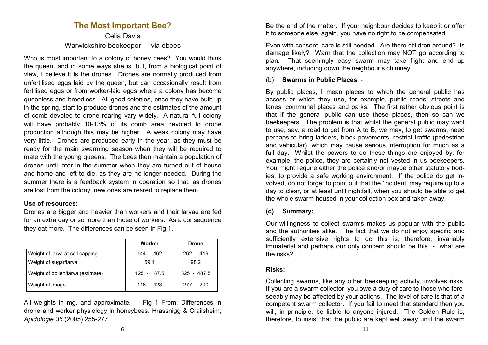### **The Most Important Bee?**

Celia Davis Warwickshire beekeeper - via ebees

Who is most important to a colony of honey bees? You would think the queen, and in some ways she is, but, from a biological point of view, I believe it is the drones. Drones are normally produced from unfertilised eggs laid by the queen, but can occasionally result from fertilised eggs or from worker-laid eggs where a colony has become queenless and broodless. All good colonies, once they have built up in the spring, start to produce drones and the estimates of the amount of comb devoted to drone rearing vary widely. A natural full colony will have probably 10-13% of its comb area devoted to drone production although this may be higher. A weak colony may have very little. Drones are produced early in the year, as they must be ready for the main swarming season when they will be required to mate with the young queens. The bees then maintain a population of drones until later in the summer when they are turned out of house and home and left to die, as they are no longer needed. During the summer there is a feedback system in operation so that, as drones are lost from the colony, new ones are reared to replace them.

#### **Use of resources:**

Drones are bigger and heavier than workers and their larvae are fed for an extra day or so more than those of workers. As a consequence they eat more. The differences can be seen in Fig 1.

|                                   | Worker      | <b>Drone</b>  |
|-----------------------------------|-------------|---------------|
| Weight of larva at cell capping   | 144 - 162   | $262 - 419$   |
| Weight of sugar/larva             | 59.4        | 98.2          |
| Weight of pollen/larva (estimate) | 125 - 187.5 | $325 - 487.5$ |
| Weight of imago                   | $116 - 123$ | 277 - 290     |

All weights in mg. and approximate. Fig 1 From: Differences in drone and worker physiology in honeybees. Hrassnigg & Crailsheim; *Apidologie 36* (2005) 255-277

Be the end of the matter. If your neighbour decides to keep it or offer it to someone else, again, you have no right to be compensated.

Even with consent, care is still needed. Are there children around? Is damage likely? Warn that the collection may NOT go according to plan. That seemingly easy swarm may take flight and end up anywhere, including down the neighbour's chimney.

#### (b) **Swarms in Public Places** -

By public places, I mean places to which the general public has access or which they use, for example, public roads, streets and lanes, communal places and parks. The first rather obvious point is that if the general public can use these places, then so can we beekeepers. The problem is that whilst the general public may want to use, say, a road to get from A to B, we may, to get swarms, need perhaps to bring ladders, block pavements, restrict traffic (pedestrian and vehicular), which may cause serious interruption for much as a full day. Whilst the powers to do these things are enjoyed by, for example, the police, they are certainly not vested in us beekeepers. You might require either the police and/or maybe other statutory bodies, to provide a safe working environment. If the police do get involved, do not forget to point out that the 'incident' may require up to a day to clear, or at least until nightfall, when you should be able to get the whole swarm housed in your collection box and taken away.

#### **(c) Summary:**

Our willingness to collect swarms makes us popular with the public and the authorities alike. The fact that we do not enjoy specific and sufficiently extensive rights to do this is, therefore, invariably immaterial and perhaps our only concern should be this - what are the risks?

#### **Risks:**

Collecting swarms, like any other beekeeping activity, involves risks. If you are a swarm collector, you owe a duty of care to those who foreseeably may be affected by your actions. The level of care is that of a competent swarm collector. If you fail to meet that standard then you will, in principle, be liable to anyone injured. The Golden Rule is, therefore, to insist that the public are kept well away until the swarm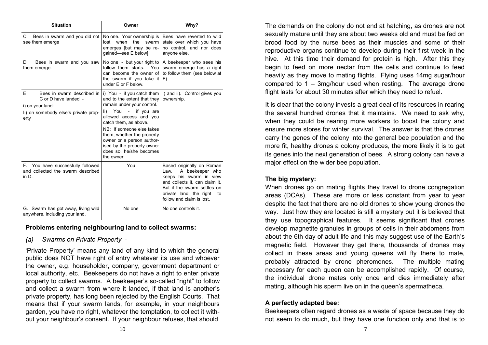| <b>Situation</b>                                                                                                             | Owner                                                                                                                                                                                                                                                                                                                                | Why?                                                                                                                                                                                                           |  |
|------------------------------------------------------------------------------------------------------------------------------|--------------------------------------------------------------------------------------------------------------------------------------------------------------------------------------------------------------------------------------------------------------------------------------------------------------------------------------|----------------------------------------------------------------------------------------------------------------------------------------------------------------------------------------------------------------|--|
| C. Bees in swarm and you did not<br>see them emerge                                                                          | No one. Your ownership is<br>the<br>when<br>swarm<br>lost<br>emerges [but may be re-<br>gained-see E below]                                                                                                                                                                                                                          | Bees have reverted to wild<br>state over which you have<br>no control, and nor does<br>anyone else.                                                                                                            |  |
| Bees in swarm and you saw<br>D.<br>them emerge.                                                                              | follow them starts.<br>You<br>can become the owner of<br>the swarm if you take it<br>under E or F below.                                                                                                                                                                                                                             | No one - but your right to $\vert$ A beekeeper who sees his<br>swarm emerge has a right<br>to follow them (see below at<br>F)                                                                                  |  |
| F.<br>Bees in swarm described in<br>C or D have landed -<br>i) on your land:<br>li) on somebody else's private prop-<br>erty | i) You - if you catch them<br>and to the extent that they<br>remain under your control.<br>You - if you are<br>li)<br>allowed access and you<br>catch them, as above.<br>NB: If someone else takes<br>them, whether the property<br>owner or a person author-<br>ised by the property owner<br>does so, he/she becomes<br>the owner. | i) and ii). Control gives you<br>ownership.                                                                                                                                                                    |  |
| F. You have successfully followed<br>and collected the swarm described<br>in D.                                              | You                                                                                                                                                                                                                                                                                                                                  | Based originally on Roman<br>A beekeeper who<br>Law.<br>keeps his swarm in view<br>and collects it, can claim it.<br>But if the swarm settles on<br>private land, the right<br>to<br>follow and claim is lost. |  |
| G. Swarm has got away, living wild<br>anywhere, including your land.                                                         | No one                                                                                                                                                                                                                                                                                                                               | No one controls it.                                                                                                                                                                                            |  |

#### **Problems entering neighbouring land to collect swarms:**

*(a) Swarms on Private Property* -

'Private Property' means any land of any kind to which the general public does NOT have right of entry whatever its use and whoever the owner, e.g. householder, company, government department or local authority, etc. Beekeepers do not have a right to enter private property to collect swarms. A beekeeper's so-called "right" to follow and collect a swarm from where it landed, if that land is another's private property, has long been rejected by the English Courts. That means that if your swarm lands, for example, in your neighbours garden, you have no right, whatever the temptation, to collect it without your neighbour's consent. If your neighbour refuses, that should

The demands on the colony do not end at hatching, as drones are not sexually mature until they are about two weeks old and must be fed on brood food by the nurse bees as their muscles and some of their reproductive organs continue to develop during their first week in the hive. At this time their demand for protein is high. After this they begin to feed on more nectar from the cells and continue to feed heavily as they move to mating flights. Flying uses 14mg sugar/hour compared to 1 – 3mg/hour used when resting. The average drone flight lasts for about 30 minutes after which they need to refuel.

It is clear that the colony invests a great deal of its resources in rearing the several hundred drones that it maintains. We need to ask why, when they could be rearing more workers to boost the colony and ensure more stores for winter survival. The answer is that the drones carry the genes of the colony into the general bee population and the more fit, healthy drones a colony produces, the more likely it is to get its genes into the next generation of bees. A strong colony can have a major effect on the wider bee population.

#### **The big mystery:**

When drones go on mating flights they travel to drone congregation areas (DCAs). These are more or less constant from year to year despite the fact that there are no old drones to show young drones the way. Just how they are located is still a mystery but it is believed that they use topographical features. It seems significant that drones develop magnetite granules in groups of cells in their abdomens from about the 6th day of adult life and this may suggest use of the Earth's magnetic field. However they get there, thousands of drones may collect in these areas and young queens will fly there to mate, probably attracted by drone pheromones. The multiple mating necessary for each queen can be accomplished rapidly. Of course, the individual drone mates only once and dies immediately after mating, although his sperm live on in the queen's spermatheca.

#### **A perfectly adapted bee:**

Beekeepers often regard drones as a waste of space because they do not seem to do much, but they have one function only and that is to